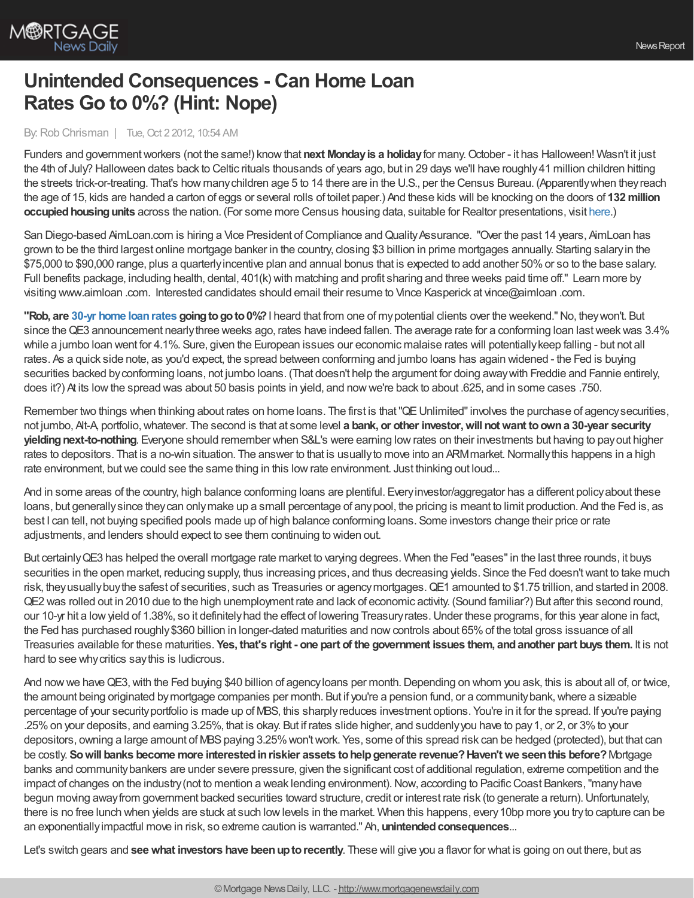

## **Unintended Consequences - Can Home Loan Rates Go to 0%? (Hint: Nope)**

By:Rob Chrisman | Tue, Oct 2 2012, 10:54 AM

Funders and governmentworkers (not the same!) knowthat **next Mondayis a holiday**for many.October - it has Halloween! Wasn't it just the 4th of July? Halloween dates back to Celtic rituals thousands of years ago, but in 29 days we'll have roughly41 million children hitting the streets trick-or-treating. That's how manychildren age 5 to 14 there are in the U.S., per the Census Bureau. (Apparentlywhen theyreach the age of 15, kids are handed a carton of eggs or several rolls of toilet paper.) And these kids will be knocking on the doors of **132 million occupied housing units** across the nation. (For some more Census housing data, suitable for Realtor presentations, visit [here](http://www.census.gov/popest/data/housing/totals/2011/index.html).)

San Diego-based AimLoan.com is hiring a Vice President of Compliance and Quality Assurance. "Over the past 14 years, AimLoan has grown to be the third largest online mortgage banker in the country, closing \$3 billion in prime mortgages annually. Starting salaryin the \$75,000 to \$90,000 range, plus a quarterlyincentive plan and annual bonus that is expected to add another 50%or so to the base salary. Full benefits package, including health, dental, 401(k) with matching and profit sharing and three weeks paid time off." Learn more by visiting www.aimloan .com. Interested candidates should email their resume to Vince Kasperick at vince@aimloan .com.

**"Rob, are 30-yr home loan rates going to go to 0%? I heard that from one of my potential clients over the weekend." No, they won't. But** since the QE3 announcement nearly three weeks ago, rates have indeed fallen. The average rate for a conforming loan last week was 3.4% while a jumbo loan went for 4.1%. Sure, given the European issues our economic malaise rates will potentiallykeep falling - but not all rates. As a quick side note, as you'd expect, the spread between conforming and jumbo loans has again widened - the Fed is buying securities backed byconforming loans, not jumbo loans. (That doesn't help the argument for doing awaywith Freddie and Fannie entirely, does it?) At its low the spread was about 50 basis points in yield, and now we're back to about .625, and in some cases .750.

Remember two things when thinking about rates on home loans. The first is that "QE Unlimited" involves the purchase of agency securities, not jumbo, Alt-A, portfolio,whatever. The second is that at some level **a bank, or other investor,will notwant toowna 30-year security yielding next-to-nothing**. Everyone should remember when S&L's were earning low rates on their investments but having to pay out higher rates to depositors. That is a no-win situation. The answer to that is usually to move into an ARM market. Normally this happens in a high rate environment, but we could see the same thing in this low rate environment. Just thinking out loud...

And in some areas of the country, high balance conforming loans are plentiful. Every investor/aggregator has a different policy about these loans, but generallysince theycan onlymake up a small percentage of anypool, the pricing is meant to limit production. And the Fed is, as best I can tell, not buying specified pools made up of high balance conforming loans. Some investors change their price or rate adjustments, and lenders should expect to see them continuing to widen out.

But certainlyQE3 has helped the overall mortgage rate market to varying degrees. When the Fed "eases"in the last three rounds, it buys securities in the open market, reducing supply, thus increasing prices, and thus decreasing yields. Since the Fed doesn'twant to take much risk, theyusuallybuythe safest of securities, such as Treasuries or agencymortgages.QE1 amounted to \$1.75 trillion, and started in 2008. QE2 was rolled out in 2010 due to the high unemployment rate and lack of economic activity. (Sound familiar?) But after this second round, our 10-yr hit a lowyield of 1.38%, so it definitelyhad the effect of lowering Treasuryrates.Under these programs, for this year alone in fact, the Fed has purchased roughly\$360 billion in longer-dated maturities and nowcontrols about 65%of the total gross issuance of all Treasuries available for these maturities. Yes, that's right - one part of the government issues them, and another part buys them. It is not hard to see why critics say this is ludicrous.

And now we have QE3, with the Fed buying \$40 billion of agency loans per month. Depending on whom you ask, this is about all of, or twice, the amount being originated bymortgage companies per month. But if you're a pension fund, or a communitybank,where a sizeable percentage of your securityportfolio is made up of MBS, this sharplyreduces investment options. You're in it for the spread. If you're paying .25%on your deposits, and earning 3.25%, that is okay. But if rates slide higher, and suddenlyyou have to pay1, or 2, or 3%to your depositors, owning a large amount of MBS paying 3.25% won't work. Yes, some of this spread risk can be hedged (protected), but that can be costly. **Sowill banks become more interestedinriskier assets tohelpgenerate revenue?Haven'twe seenthis before?**Mortgage banks and communitybankers are under severe pressure, given the significant cost of additional regulation, extreme competition and the impact of changes on the industry (not to mention a weak lending environment). Now, according to Pacific Coast Bankers, "many have begun moving away from government backed securities toward structure, credit or interest rate risk (to generate a return). Unfortunately, there is no free lunch when yields are stuck at such lowlevels in the market. When this happens, every10bp more you tryto capture can be an exponentially impactful move in risk, so extreme caution is warranted." Ah, **unintended consequences**...

Let's switch gears and **see what investors have been up to recently**. These will give you a flavor for what is going on out there, but as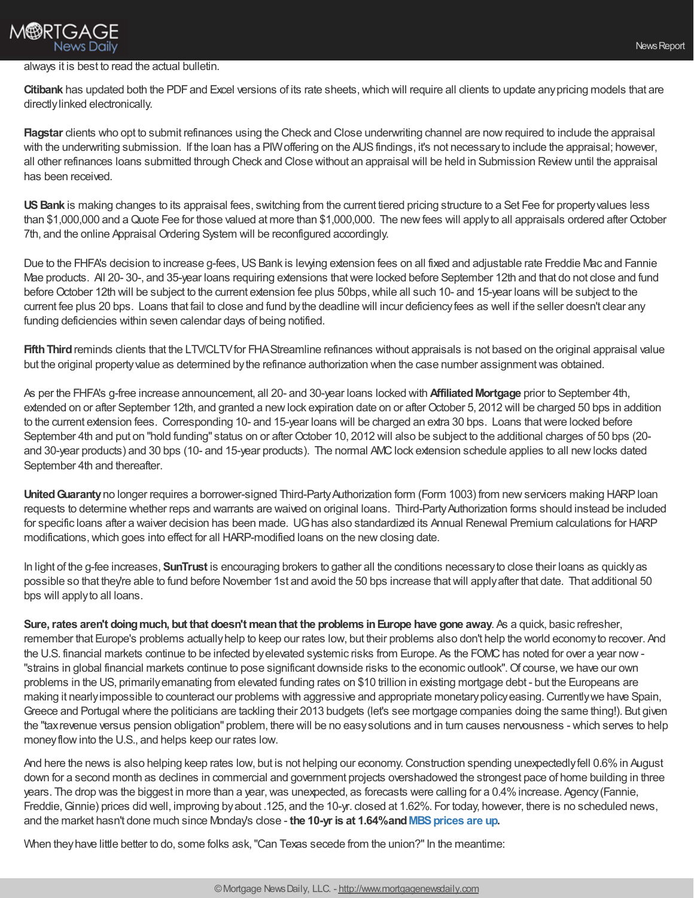

## always it is best to read the actual bulletin.

**Citibank** has updated both the PDF and Excel versions of its rate sheets, which will require all clients to update any pricing models that are directlylinked electronically.

**Flagstar** clients who opt to submit refinances using the Check and Close underwriting channel are nowrequired to include the appraisal with the underwriting submission. If the loan has a PIW offering on the AUS findings, it's not necessary to include the appraisal; however, all other refinances loans submitted through Check and Close without an appraisal will be held in Submission Reviewuntil the appraisal has been received.

US Bank is making changes to its appraisal fees, switching from the current tiered pricing structure to a Set Fee for property values less than \$1,000,000 and a Quote Fee for those valued at more than \$1,000,000. The new fees will apply to all appraisals ordered after October 7th, and the online Appraisal Ordering System will be reconfigured accordingly.

Due to the FHFA's decision to increase g-fees, US Bank is lewing extension fees on all fixed and adjustable rate Freddie Mac and Fannie Mae products. All 20- 30-, and 35-year loans requiring extensions thatwere locked before September 12th and that do not close and fund before October 12th will be subject to the current extension fee plus 50bps, while all such 10- and 15-year loans will be subject to the current fee plus 20 bps. Loans that fail to close and fund bythe deadline will incur deficiencyfees as well if the seller doesn't clear any funding deficiencies within seven calendar days of being notified.

**Fifth Third** reminds clients that the LTV/CLTV for FHA Streamline refinances without appraisals is not based on the original appraisal value but the original property value as determined by the refinance authorization when the case number assignment was obtained.

As per the FHFA's g-free increase announcement, all 20- and 30-year loans locked with **AffiliatedMortgage** prior to September 4th, extended on or after September 12th, and granted a newlock expiration date on or afterOctober 5, 2012 will be charged 50 bps in addition to the current extension fees. Corresponding 10- and 15-year loans will be charged an extra 30 bps. Loans thatwere locked before September 4th and put on "hold funding" status on or after October 10, 2012 will also be subject to the additional charges of 50 bps (20and 30-year products) and 30 bps (10- and 15-year products). The normal AMC lock extension schedule applies to all new locks dated September 4th and thereafter.

**United Guaranty** no longer requires a borrower-signed Third-Party Authorization form (Form 1003) from new servicers making HARP loan requests to determine whether reps and warrants are waived on original loans. Third-PartyAuthorization forms should instead be included for specific loans after a waiver decision has been made. UGhas also standardized its Annual Renewal Premium calculations for HARP modifications, which goes into effect for all HARP-modified loans on the new closing date.

In light of the g-fee increases, **SunTrust** is encouraging brokers to gather all the conditions necessaryto close their loans as quicklyas possible so that they're able to fund before November 1st and avoid the 50 bps increase thatwill applyafter that date. That additional 50 bps will applyto all loans.

**Sure, rates aren't doing much, but that doesn't mean that the problems in Europe have gone away. As a quick, basic refresher,** remember that Europe's problems actuallyhelp to keep our rates low, but their problems also don't help the world economyto recover. And the U.S. financial markets continue to be infected by elevated systemic risks from Europe. As the FOMC has noted for over a year now -"strains in global financial markets continue to pose significant downside risks to the economic outlook". Of course, we have our own problems in the US, primarilyemanating from elevated funding rates on \$10 trillion in existing mortgage debt - but the Europeans are making it nearly impossible to counteract our problems with aggressive and appropriate monetary policy easing. Currently we have Spain, Greece and Portugal where the politicians are tackling their 2013 budgets (let's see mortgage companies doing the same thing!). But given the "taxrevenue versus pension obligation" problem, there will be no easysolutions and in turn causes nervousness - which serves to help moneyflowinto the U.S., and helps keep our rates low.

And here the news is also helping keep rates low, but is not helping our economy.Construction spending unexpectedlyfell 0.6%in August down for a second month as declines in commercial and government projects overshadowed the strongest pace of home building in three years. The drop was the biggest in more than a year, was unexpected, as forecasts were calling for a 0.4% increase. Agency (Fannie, Freddie, Ginnie) prices did well, improving by about .125, and the 10-yr. closed at 1.62%. For today, however, there is no scheduled news, and the market hasn't done much since Monday's close - the 10-yr is at 1.64% and MBS prices are up.

When they have little better to do, some folks ask, "Can Texas secede from the union?" In the meantime: